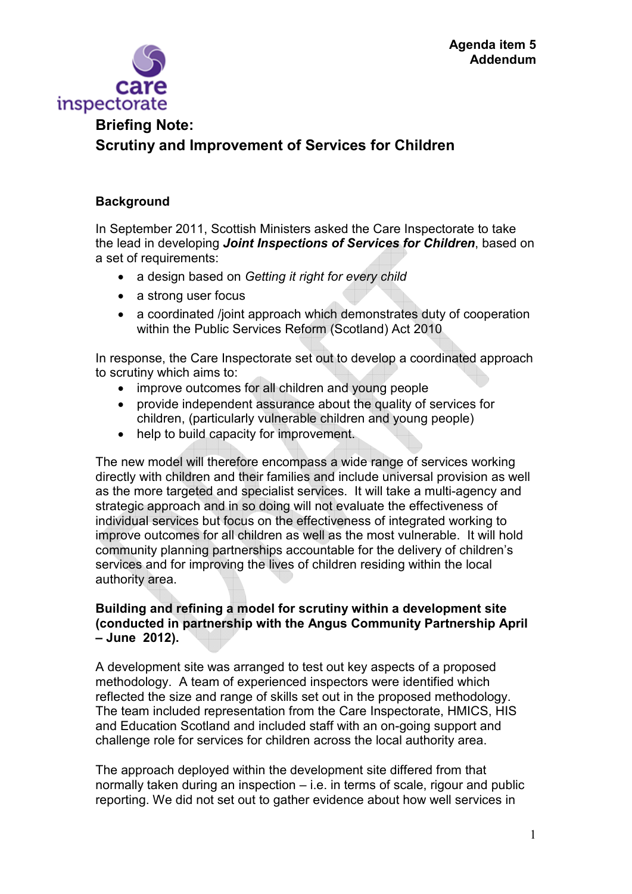

# **Briefing Note: Scrutiny and Improvement of Services for Children**

## **Background**

In September 2011, Scottish Ministers asked the Care Inspectorate to take the lead in developing *Joint Inspections of Services for Children*, based on a set of requirements:

- a design based on *Getting it right for every child*
- a strong user focus
- a coordinated /joint approach which demonstrates duty of cooperation within the Public Services Reform (Scotland) Act 2010

In response, the Care Inspectorate set out to develop a coordinated approach to scrutiny which aims to:

- improve outcomes for all children and young people
- provide independent assurance about the quality of services for children, (particularly vulnerable children and young people)
- help to build capacity for improvement.

The new model will therefore encompass a wide range of services working directly with children and their families and include universal provision as well as the more targeted and specialist services. It will take a multi-agency and strategic approach and in so doing will not evaluate the effectiveness of individual services but focus on the effectiveness of integrated working to improve outcomes for all children as well as the most vulnerable. It will hold community planning partnerships accountable for the delivery of children's services and for improving the lives of children residing within the local authority area.

### **Building and refining a model for scrutiny within a development site (conducted in partnership with the Angus Community Partnership April – June 2012).**

A development site was arranged to test out key aspects of a proposed methodology. A team of experienced inspectors were identified which reflected the size and range of skills set out in the proposed methodology. The team included representation from the Care Inspectorate, HMICS, HIS and Education Scotland and included staff with an on-going support and challenge role for services for children across the local authority area.

The approach deployed within the development site differed from that normally taken during an inspection – i.e. in terms of scale, rigour and public reporting. We did not set out to gather evidence about how well services in